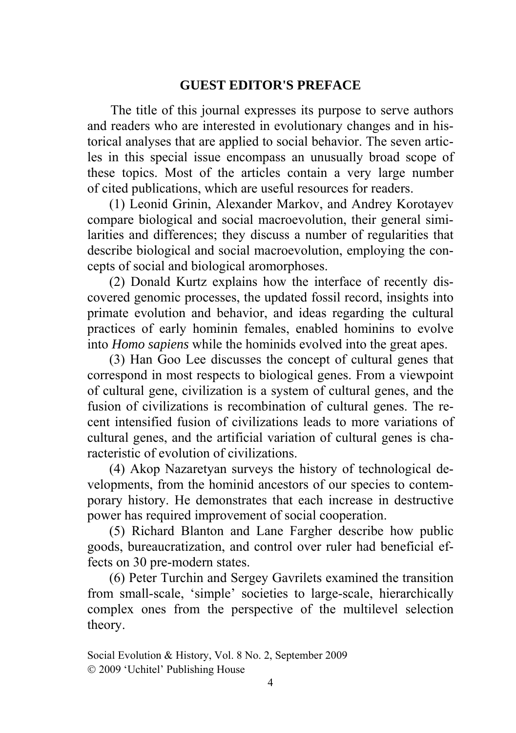## **GUEST EDITOR'S PREFACE**

The title of this journal expresses its purpose to serve authors and readers who are interested in evolutionary changes and in historical analyses that are applied to social behavior. The seven articles in this special issue encompass an unusually broad scope of these topics. Most of the articles contain a very large number of cited publications, which are useful resources for readers.

(1) Leonid Grinin, Alexander Markov, and Andrey Korotayev compare biological and social macroevolution, their general similarities and differences; they discuss a number of regularities that describe biological and social macroevolution, employing the concepts of social and biological aromorphoses.

(2) Donald Kurtz explains how the interface of recently discovered genomic processes, the updated fossil record, insights into primate evolution and behavior, and ideas regarding the cultural practices of early hominin females, enabled hominins to evolve into *Homo sapiens* while the hominids evolved into the great apes.

(3) Han Goo Lee discusses the concept of cultural genes that correspond in most respects to biological genes. From a viewpoint of cultural gene, civilization is a system of cultural genes, and the fusion of civilizations is recombination of cultural genes. The recent intensified fusion of civilizations leads to more variations of cultural genes, and the artificial variation of cultural genes is characteristic of evolution of civilizations.

(4) Akop Nazaretyan surveys the history of technological developments, from the hominid ancestors of our species to contemporary history. He demonstrates that each increase in destructive power has required improvement of social cooperation.

(5) Richard Blanton and Lane Fargher describe how public goods, bureaucratization, and control over ruler had beneficial effects on 30 pre-modern states.

(6) Peter Turchin and Sergey Gavrilets examined the transition from small-scale, 'simple' societies to large-scale, hierarchically complex ones from the perspective of the multilevel selection theory.

Social Evolution & History, Vol. 8 No. 2, September 2009 2009 'Uchitel' Publishing Housе